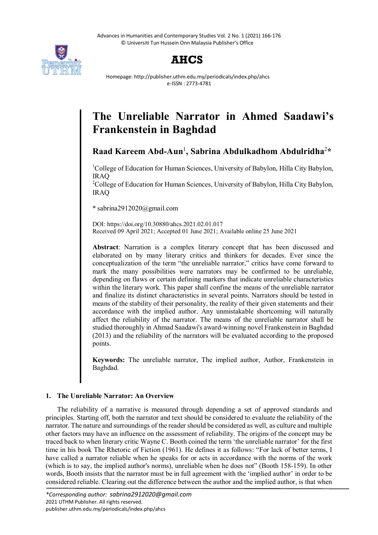



Homepage: http://publisher.uthm.edu.my/periodicals/index.php/ahcs e-ISSN : 2773-4781

# **The Unreliable Narrator in Ahmed Saadawi's Frankenstein in Baghdad**

**Raad Kareem Abd-Aun**<sup>1</sup> **, Sabrina Abdulkadhom Abdulridha**<sup>2</sup> **\***

<sup>1</sup>College of Education for Human Sciences, University of Babylon, Hilla City Babylon, IRAQ

<sup>2</sup>College of Education for Human Sciences, University of Babylon, Hilla City Babylon, IRAQ

\* sabrina2912020@gmail.com

DOI: https://doi.org/10.30880/ahcs.2021.02.01.017 Received 09 April 2021; Accepted 01 June 2021; Available online 25 June 2021

**Abstract**: Narration is a complex literary concept that has been discussed and elaborated on by many literary critics and thinkers for decades. Ever since the conceptualization of the term "the unreliable narrator," critics have come forward to mark the many possibilities were narrators may be confirmed to be unreliable, depending on flaws or certain defining markers that indicate unreliable characteristics within the literary work. This paper shall confine the means of the unreliable narrator and finalize its distinct characteristics in several points. Narrators should be tested in means of the stability of their personality, the reality of their given statements and their accordance with the implied author. Any unmistakable shortcoming will naturally affect the reliability of the narrator. The means of the unreliable narrator shall be studied thoroughly in Ahmad Saadawi's award-winning novel Frankenstein in Baghdad (2013) and the reliability of the narrators will be evaluated according to the proposed points.

**Keywords:** The unreliable narrator, The implied author, Author, Frankenstein in Baghdad.

# **1. The Unreliable Narrator: An Overview**

The reliability of a narrative is measured through depending a set of approved standards and principles. Starting off, both the narrator and text should be considered to evaluate the reliability of the narrator. The nature and surroundings of the reader should be considered as well, as culture and multiple other factors may have an influence on the assessment of reliability. The origins of the concept may be traced back to when literary critic Wayne C. Booth coined the term 'the unreliable narrator' for the first time in his book The Rhetoric of Fiction (1961). He defines it as follows: "For lack of better terms, I have called a narrator reliable when he speaks for or acts in accordance with the norms of the work (which is to say, the implied author's norms), unreliable when he does not" (Booth 158-159). In other words, Booth insists that the narrator must be in full agreement with the 'implied author' in order to be considered reliable. Clearing out the difference between the author and the implied author, is that when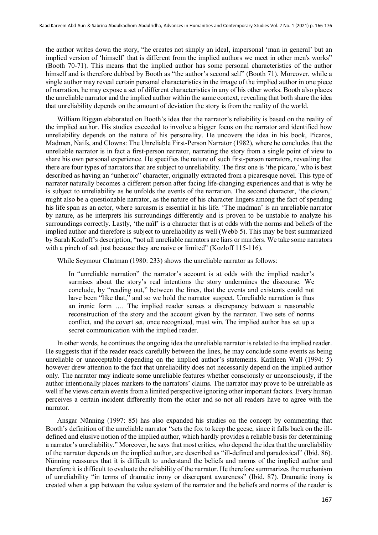the author writes down the story, "he creates not simply an ideal, impersonal 'man in general' but an implied version of 'himself' that is different from the implied authors we meet in other men's works" (Booth 70-71). This means that the implied author has some personal characteristics of the author himself and is therefore dubbed by Booth as "the author's second self" (Booth 71). Moreover, while a single author may reveal certain personal characteristics in the image of the implied author in one piece of narration, he may expose a set of different characteristics in any of his other works. Booth also places the unreliable narrator and the implied author within the same context, revealing that both share the idea that unreliability depends on the amount of deviation the story is from the reality of the world.

William Riggan elaborated on Booth's idea that the narrator's reliability is based on the reality of the implied author. His studies exceeded to involve a bigger focus on the narrator and identified how unreliability depends on the nature of his personality. He uncovers the idea in his book, Picaros, Madmen, Naifs, and Clowns: The Unreliable First-Person Narrator (1982), where he concludes that the unreliable narrator is in fact a first-person narrator, narrating the story from a single point of view to share his own personal experience. He specifies the nature of such first-person narrators, revealing that there are four types of narrators that are subject to unreliability. The first one is 'the picaro,' who is best described as having an "unheroic" character, originally extracted from a picaresque novel. This type of narrator naturally becomes a different person after facing life-changing experiences and that is why he is subject to unreliability as he unfolds the events of the narration. The second character, 'the clown,' might also be a questionable narrator, as the nature of his character lingers among the fact of spending his life span as an actor, where sarcasm is essential in his life. 'The madman' is an unreliable narrator by nature, as he interprets his surroundings differently and is proven to be unstable to analyze his surroundings correctly. Lastly, 'the naïf' is a character that is at odds with the norms and beliefs of the implied author and therefore is subject to unreliability as well (Webb 5). This may be best summarized by Sarah Kozloff's description, "not all unreliable narrators are liars or murders. We take some narrators with a pinch of salt just because they are naive or limited" (Kozloff 115-116).

While Seymour Chatman (1980: 233) shows the unreliable narrator as follows:

In "unreliable narration" the narrator's account is at odds with the implied reader's surmises about the story's real intentions the story undermines the discourse. We conclude, by "reading out," between the lines, that the events and existents could not have been "like that," and so we hold the narrator suspect. Unreliable narration is thus an ironic form …. The implied reader senses a discrepancy between a reasonable reconstruction of the story and the account given by the narrator. Two sets of norms conflict, and the covert set, once recognized, must win. The implied author has set up a secret communication with the implied reader.

In other words, he continues the ongoing idea the unreliable narrator is related to the implied reader. He suggests that if the reader reads carefully between the lines, he may conclude some events as being unreliable or unacceptable depending on the implied author's statements. Kathleen Wall (1994: 5) however drew attention to the fact that unreliability does not necessarily depend on the implied author only. The narrator may indicate some unreliable features whether consciously or unconsciously, if the author intentionally places markers to the narrators' claims. The narrator may prove to be unreliable as well if he views certain events from a limited perspective ignoring other important factors. Every human perceives a certain incident differently from the other and so not all readers have to agree with the narrator.

Ansgar Nünning (1997: 85) has also expanded his studies on the concept by commenting that Booth's definition of the unreliable narrator "sets the fox to keep the geese, since it falls back on the illdefined and elusive notion of the implied author, which hardly provides a reliable basis for determining a narrator's unreliability." Moreover, he says that most critics, who depend the idea that the unreliability of the narrator depends on the implied author, are described as "ill-defined and paradoxical" (Ibid. 86). Nünning reassures that it is difficult to understand the beliefs and norms of the implied author and therefore it is difficult to evaluate the reliability of the narrator. He therefore summarizes the mechanism of unreliability "in terms of dramatic irony or discrepant awareness" (Ibid. 87). Dramatic irony is created when a gap between the value system of the narrator and the beliefs and norms of the reader is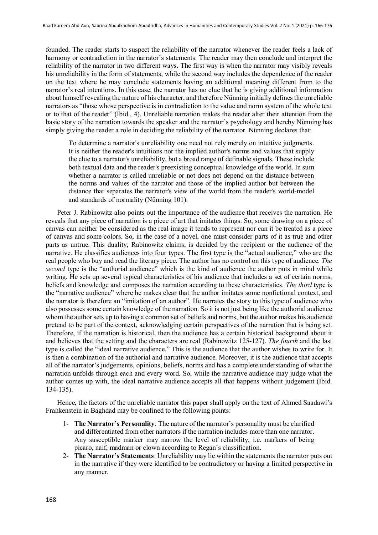founded. The reader starts to suspect the reliability of the narrator whenever the reader feels a lack of harmony or contradiction in the narrator's statements. The reader may then conclude and interpret the reliability of the narrator in two different ways. The first way is when the narrator may visibly reveals his unreliability in the form of statements, while the second way includes the dependence of the reader on the text where he may conclude statements having an additional meaning different from to the narrator's real intentions. In this case, the narrator has no clue that he is giving additional information about himself revealing the nature of his character, and therefore Nünning initially defines the unreliable narrators as "those whose perspective is in contradiction to the value and norm system of the whole text or to that of the reader" (Ibid., 4). Unreliable narration makes the reader alter their attention from the basic story of the narration towards the speaker and the narrator's psychology and hereby Nünning has simply giving the reader a role in deciding the reliability of the narrator. Nünning declares that:

To determine a narrator's unreliability one need not rely merely on intuitive judgments. It is neither the reader's intuitions nor the implied author's norms and values that supply the clue to a narrator's unreliability, but a broad range of definable signals. These include both textual data and the reader's preexisting conceptual knowledge of the world. In sum whether a narrator is called unreliable or not does not depend on the distance between the norms and values of the narrator and those of the implied author but between the distance that separates the narrator's view of the world from the reader's world-model and standards of normality (Nünning 101).

Peter J. Rabinowitz also points out the importance of the audience that receives the narration. He reveals that any piece of narration is a piece of art that imitates things. So, some drawing on a piece of canvas can neither be considered as the real image it tends to represent nor can it be treated as a piece of canvas and some colors. So, in the case of a novel, one must consider parts of it as true and other parts as untrue. This duality, Rabinowitz claims, is decided by the recipient or the audience of the narrative. He classifies audiences into four types. The first type is the "actual audience," who are the real people who buy and read the literary piece. The author has no control on this type of audience. *The second* type is the "authorial audience" which is the kind of audience the author puts in mind while writing. He sets up several typical characteristics of his audience that includes a set of certain norms, beliefs and knowledge and composes the narration according to these characteristics. *The third* type is the "narrative audience" where he makes clear that the author imitates some nonfictional context, and the narrator is therefore an "imitation of an author". He narrates the story to this type of audience who also possesses some certain knowledge of the narration. So it is not just being like the authorial audience whom the author sets up to having a common set of beliefs and norms, but the author makes his audience pretend to be part of the context, acknowledging certain perspectives of the narration that is being set. Therefore, if the narration is historical, then the audience has a certain historical background about it and believes that the setting and the characters are real (Rabinowitz 125-127). *The fourth* and the last type is called the "ideal narrative audience." This is the audience that the author wishes to write for. It is then a combination of the authorial and narrative audience. Moreover, it is the audience that accepts all of the narrator's judgements, opinions, beliefs, norms and has a complete understanding of what the narration unfolds through each and every word. So, while the narrative audience may judge what the author comes up with, the ideal narrative audience accepts all that happens without judgement (Ibid. 134-135).

Hence, the factors of the unreliable narrator this paper shall apply on the text of Ahmed Saadawi's Frankenstein in Baghdad may be confined to the following points:

- 1- **The Narrator's Personality**: The nature of the narrator's personality must be clarified and differentiated from other narrators if the narration includes more than one narrator. Any susceptible marker may narrow the level of reliability, i.e. markers of being picaro, naif, madman or clown according to Regan's classification.
- 2- **The Narrator's Statements**: Unreliability may lie within the statements the narrator puts out in the narrative if they were identified to be contradictory or having a limited perspective in any manner.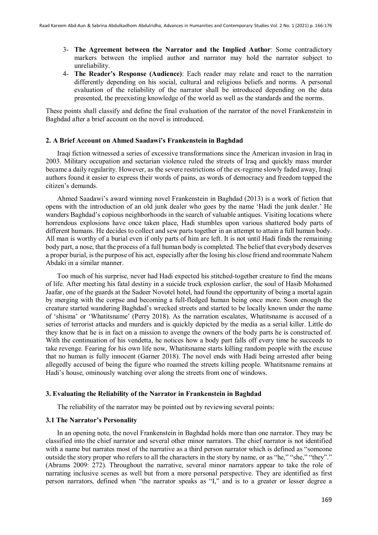- 3- **The Agreement between the Narrator and the Implied Author**: Some contradictory markers between the implied author and narrator may hold the narrator subject to unreliability.
- 4- **The Reader's Response (Audience)**: Each reader may relate and react to the narration differently depending on his social, cultural and religious beliefs and norms. A personal evaluation of the reliability of the narrator shall be introduced depending on the data presented, the preexisting knowledge of the world as well as the standards and the norms.

These points shall classify and define the final evaluation of the narrator of the novel Frankenstein in Baghdad after a brief account on the novel is introduced.

#### **2. A Brief Account on Ahmed Saadawi's Frankenstein in Baghdad**

Iraqi fiction witnessed a series of excessive transformations since the American invasion in Iraq in 2003. Military occupation and sectarian violence ruled the streets of Iraq and quickly mass murder became a daily regularity. However, as the severe restrictions of the ex-regime slowly faded away, Iraqi authors found it easier to express their words of pains, as words of democracy and freedom topped the citizen's demands.

Ahmed Saadawi's award winning novel Frankenstein in Baghdad (2013) is a work of fiction that opens with the introduction of an old junk dealer who goes by the name 'Hadi the junk dealer.' He wanders Baghdad's copious neighborhoods in the search of valuable antiques. Visiting locations where horrendous explosions have once taken place, Hadi stumbles upon various shattered body parts of different humans. He decides to collect and sew parts together in an attempt to attain a full human body. All man is worthy of a burial even if only parts of him are left. It is not until Hadi finds the remaining body part, a nose, that the process of a full human body is completed. The belief that everybody deserves a proper burial, is the purpose of his act, especially after the losing his close friend and roommate Nahem Abdaki in a similar manner.

Too much of his surprise, never had Hadi expected his stitched-together creature to find the means of life. After meeting his fatal destiny in a suicide truck explosion earlier, the soul of Hasib Mohamed Jaafar, one of the guards at the Sadeer Novotel hotel, had found the opportunity of being a mortal again by merging with the corpse and becoming a full-fledged human being once more. Soon enough the creature started wandering Baghdad's wrecked streets and started to be locally known under the name of 'shisma' or 'Whatitsname' (Perry 2018). As the narration escalates, Whatitsname is accused of a series of terrorist attacks and murders and is quickly depicted by the media as a serial killer. Little do they know that he is in fact on a mission to avenge the owners of the body parts he is constructed of. With the continuation of his vendetta, he notices how a body part falls off every time he succeeds to take revenge. Fearing for his own life now, Whatitsname starts killing random people with the excuse that no human is fully innocent (Garner 2018). The novel ends with Hadi being arrested after being allegedly accused of being the figure who roamed the streets killing people. Whatitsname remains at Hadi's house, ominously watching over along the streets from one of windows.

#### **3. Evaluating the Reliability of the Narrator in Frankenstein in Baghdad**

The reliability of the narrator may be pointed out by reviewing several points:

# **3.1 The Narrator's Personality**

In an opening note, the novel Frankenstein in Baghdad holds more than one narrator. They may be classified into the chief narrator and several other minor narrators. The chief narrator is not identified with a name but narrates most of the narrative as a third person narrator which is defined as "someone outside the story proper who refers to all the characters in the story by name, or as "he," "she," "they"." (Abrams 2009: 272). Throughout the narrative, several minor narrators appear to take the role of narrating inclusive scenes as well but from a more personal perspective. They are identified as first person narrators, defined when "the narrator speaks as "I," and is to a greater or lesser degree a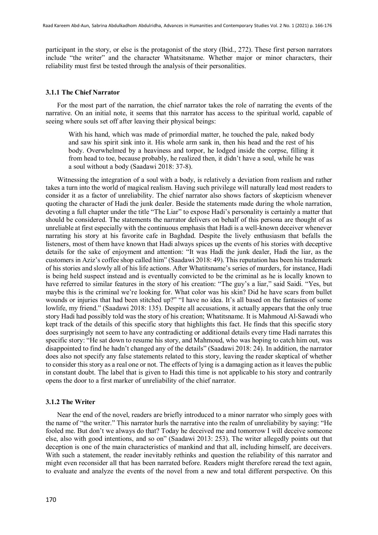participant in the story, or else is the protagonist of the story (Ibid., 272). These first person narrators include "the writer" and the character Whatsitsname. Whether major or minor characters, their reliability must first be tested through the analysis of their personalities.

#### **3.1.1 The Chief Narrator**

For the most part of the narration, the chief narrator takes the role of narrating the events of the narrative. On an initial note, it seems that this narrator has access to the spiritual world, capable of seeing where souls set off after leaving their physical beings:

With his hand, which was made of primordial matter, he touched the pale, naked body and saw his spirit sink into it. His whole arm sank in, then his head and the rest of his body. Overwhelmed by a heaviness and torpor, he lodged inside the corpse, filling it from head to toe, because probably, he realized then, it didn't have a soul, while he was a soul without a body (Saadawi 2018: 37-8).

Witnessing the integration of a soul with a body, is relatively a deviation from realism and rather takes a turn into the world of magical realism. Having such privilege will naturally lead most readers to consider it as a factor of unreliability. The chief narrator also shows factors of skepticism whenever quoting the character of Hadi the junk dealer. Beside the statements made during the whole narration, devoting a full chapter under the title "The Liar" to expose Hadi's personality is certainly a matter that should be considered. The statements the narrator delivers on behalf of this persona are thought of as unreliable at first especially with the continuous emphasis that Hadi is a well-known deceiver whenever narrating his story at his favorite cafe in Baghdad. Despite the lively enthusiasm that befalls the listeners, most of them have known that Hadi always spices up the events of his stories with deceptive details for the sake of enjoyment and attention: "It was Hadi the junk dealer, Hadi the liar, as the customers in Aziz's coffee shop called him" (Saadawi 2018: 49). This reputation has been his trademark of his stories and slowly all of his life actions. After Whatitsname's series of murders, for instance, Hadi is being held suspect instead and is eventually convicted to be the criminal as he is locally known to have referred to similar features in the story of his creation: "The guy's a liar," said Saidi. "Yes, but maybe this is the criminal we're looking for. What color was his skin? Did he have scars from bullet wounds or injuries that had been stitched up?" "I have no idea. It's all based on the fantasies of some lowlife, my friend." (Saadawi 2018: 135). Despite all accusations, it actually appears that the only true story Hadi had possibly told was the story of his creation; Whatitsname. It is Mahmoud Al-Sawadi who kept track of the details of this specific story that highlights this fact. He finds that this specific story does surprisingly not seem to have any contradicting or additional details every time Hadi narrates this specific story: "He sat down to resume his story, and Mahmoud, who was hoping to catch him out, was disappointed to find he hadn't changed any of the details" (Saadawi 2018: 24). In addition, the narrator does also not specify any false statements related to this story, leaving the reader skeptical of whether to consider this story as a real one or not. The effects of lying is a damaging action as it leaves the public in constant doubt. The label that is given to Hadi this time is not applicable to his story and contrarily opens the door to a first marker of unreliability of the chief narrator.

# **3.1.2 The Writer**

Near the end of the novel, readers are briefly introduced to a minor narrator who simply goes with the name of "the writer." This narrator hurls the narrative into the realm of unreliability by saying: "He fooled me. But don't we always do that? Today he deceived me and tomorrow I will deceive someone else, also with good intentions, and so on" (Saadawi 2013: 253). The writer allegedly points out that deception is one of the main characteristics of mankind and that all, including himself, are deceivers. With such a statement, the reader inevitably rethinks and question the reliability of this narrator and might even reconsider all that has been narrated before. Readers might therefore reread the text again, to evaluate and analyze the events of the novel from a new and total different perspective. On this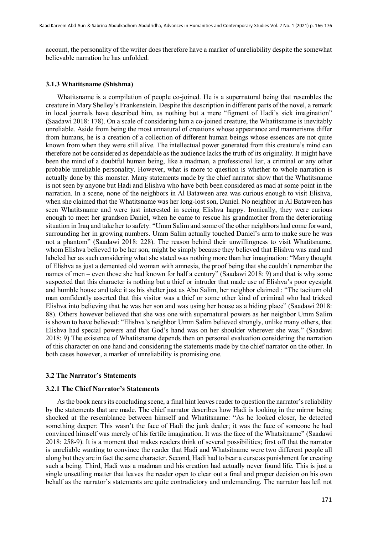account, the personality of the writer does therefore have a marker of unreliability despite the somewhat believable narration he has unfolded.

#### **3.1.3 Whatitsname (Shishma)**

Whatitsname is a compilation of people co-joined. He is a supernatural being that resembles the creature in Mary Shelley's Frankenstein. Despite this description in different parts of the novel, a remark in local journals have described him, as nothing but a mere "figment of Hadi's sick imagination" (Saadawi 2018: 178). On a scale of considering him a co-joined creature, the Whatitsname is inevitably unreliable. Aside from being the most unnatural of creations whose appearance and mannerisms differ from humans, he is a creation of a collection of different human beings whose essences are not quite known from when they were still alive. The intellectual power generated from this creature's mind can therefore not be considered as dependable as the audience lacks the truth of its originality. It might have been the mind of a doubtful human being, like a madman, a professional liar, a criminal or any other probable unreliable personality. However, what is more to question is whether to whole narration is actually done by this monster. Many statements made by the chief narrator show that the Whatitsname is not seen by anyone but Hadi and Elishva who have both been considered as mad at some point in the narration. In a scene, none of the neighbors in Al Bataween area was curious enough to visit Elishva, when she claimed that the Whatitsname was her long-lost son, Daniel. No neighbor in Al Bataween has seen Whatitsname and were just interested in seeing Elishva happy. Ironically, they were curious enough to meet her grandson Daniel, when he came to rescue his grandmother from the deteriorating situation in Iraq and take her to safety: "Umm Salim and some of the other neighbors had come forward, surrounding her in growing numbers. Umm Salim actually touched Daniel's arm to make sure he was not a phantom" (Saadawi 2018: 228). The reason behind their unwillingness to visit Whatitsname, whom Elishva believed to be her son, might be simply because they believed that Elishva was mad and labeled her as such considering what she stated was nothing more than her imagination: "Many thought of Elishva as just a demented old woman with amnesia, the proof being that she couldn't remember the names of men – even those she had known for half a century" (Saadawi 2018: 9) and that is why some suspected that this character is nothing but a thief or intruder that made use of Elishva's poor eyesight and humble house and take it as his shelter just as Abu Salim, her neighbor claimed : "The taciturn old man confidently asserted that this visitor was a thief or some other kind of criminal who had tricked Elishva into believing that he was her son and was using her house as a hiding place" (Saadawi 2018: 88). Others however believed that she was one with supernatural powers as her neighbor Umm Salim is shown to have believed: "Elishva's neighbor Umm Salim believed strongly, unlike many others, that Elishva had special powers and that God's hand was on her shoulder wherever she was." (Saadawi 2018: 9) The existence of Whatitsname depends then on personal evaluation considering the narration of this character on one hand and considering the statements made by the chief narrator on the other. In both cases however, a marker of unreliability is promising one.

#### **3.2 The Narrator's Statements**

#### **3.2.1 The Chief Narrator's Statements**

As the book nears its concluding scene, a final hint leaves reader to question the narrator's reliability by the statements that are made. The chief narrator describes how Hadi is looking in the mirror being shocked at the resemblance between himself and Whatitsname: "As he looked closer, he detected something deeper: This wasn't the face of Hadi the junk dealer; it was the face of someone he had convinced himself was merely of his fertile imagination. It was the face of the Whatsitname" (Saadawi 2018: 258-9). It is a moment that makes readers think of several possibilities; first off that the narrator is unreliable wanting to convince the reader that Hadi and Whatsitname were two different people all along but they are in fact the same character. Second, Hadi had to bear a curse as punishment for creating such a being. Third, Hadi was a madman and his creation had actually never found life. This is just a single unsettling matter that leaves the reader open to clear out a final and proper decision on his own behalf as the narrator's statements are quite contradictory and undemanding. The narrator has left not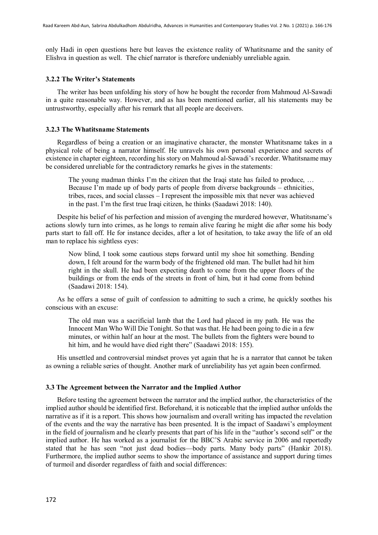only Hadi in open questions here but leaves the existence reality of Whatitsname and the sanity of Elishva in question as well. The chief narrator is therefore undeniably unreliable again.

#### **3.2.2 The Writer's Statements**

The writer has been unfolding his story of how he bought the recorder from Mahmoud Al-Sawadi in a quite reasonable way. However, and as has been mentioned earlier, all his statements may be untrustworthy, especially after his remark that all people are deceivers.

# **3.2.3 The Whatitsname Statements**

Regardless of being a creation or an imaginative character, the monster Whatitsname takes in a physical role of being a narrator himself. He unravels his own personal experience and secrets of existence in chapter eighteen, recording his story on Mahmoud al-Sawadi's recorder. Whatitsname may be considered unreliable for the contradictory remarks he gives in the statements:

The young madman thinks I'm the citizen that the Iraqi state has failed to produce, ... Because I'm made up of body parts of people from diverse backgrounds – ethnicities, tribes, races, and social classes – I represent the impossible mix that never was achieved in the past. I'm the first true Iraqi citizen, he thinks (Saadawi 2018: 140).

Despite his belief of his perfection and mission of avenging the murdered however, Whatitsname's actions slowly turn into crimes, as he longs to remain alive fearing he might die after some his body parts start to fall off. He for instance decides, after a lot of hesitation, to take away the life of an old man to replace his sightless eyes:

Now blind, I took some cautious steps forward until my shoe hit something. Bending down, I felt around for the warm body of the frightened old man. The bullet had hit him right in the skull. He had been expecting death to come from the upper floors of the buildings or from the ends of the streets in front of him, but it had come from behind (Saadawi 2018: 154).

As he offers a sense of guilt of confession to admitting to such a crime, he quickly soothes his conscious with an excuse:

The old man was a sacrificial lamb that the Lord had placed in my path. He was the Innocent Man Who Will Die Tonight. So that was that. He had been going to die in a few minutes, or within half an hour at the most. The bullets from the fighters were bound to hit him, and he would have died right there" (Saadawi 2018: 155).

His unsettled and controversial mindset proves yet again that he is a narrator that cannot be taken as owning a reliable series of thought. Another mark of unreliability has yet again been confirmed.

#### **3.3 The Agreement between the Narrator and the Implied Author**

Before testing the agreement between the narrator and the implied author, the characteristics of the implied author should be identified first. Beforehand, it is noticeable that the implied author unfolds the narrative as if it is a report. This shows how journalism and overall writing has impacted the revelation of the events and the way the narrative has been presented. It is the impact of Saadawi's employment in the field of journalism and he clearly presents that part of his life in the "author's second self" or the implied author. He has worked as a journalist for the BBC'S Arabic service in 2006 and reportedly stated that he has seen "not just dead bodies—body parts. Many body parts" (Hankir 2018). Furthermore, the implied author seems to show the importance of assistance and support during times of turmoil and disorder regardless of faith and social differences: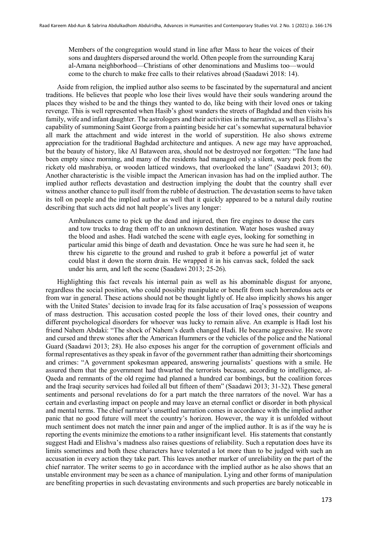Members of the congregation would stand in line after Mass to hear the voices of their sons and daughters dispersed around the world. Often people from the surrounding Karaj al-Amana neighborhood—Christians of other denominations and Muslims too—would come to the church to make free calls to their relatives abroad (Saadawi 2018: 14).

Aside from religion, the implied author also seems to be fascinated by the supernatural and ancient traditions. He believes that people who lose their lives would have their souls wandering around the places they wished to be and the things they wanted to do, like being with their loved ones or taking revenge. This is well represented when Hasib's ghost wanders the streets of Baghdad and then visits his family, wife and infant daughter. The astrologers and their activities in the narrative, as well as Elishva's capability of summoning Saint George from a painting beside her cat's somewhat supernatural behavior all mark the attachment and wide interest in the world of superstition. He also shows extreme appreciation for the traditional Baghdad architecture and antiques. A new age may have approached, but the beauty of history, like Al Bataween area, should not be destroyed nor forgotten: "The lane had been empty since morning, and many of the residents had managed only a silent, wary peek from the rickety old mashrabiya, or wooden latticed windows, that overlooked the lane" (Saadawi 2013; 60). Another characteristic is the visible impact the American invasion has had on the implied author. The implied author reflects devastation and destruction implying the doubt that the country shall ever witness another chance to pull itself from the rubble of destruction. The devastation seems to have taken its toll on people and the implied author as well that it quickly appeared to be a natural daily routine describing that such acts did not halt people's lives any longer:

Ambulances came to pick up the dead and injured, then fire engines to douse the cars and tow trucks to drag them off to an unknown destination. Water hoses washed away the blood and ashes. Hadi watched the scene with eagle eyes, looking for something in particular amid this binge of death and devastation. Once he was sure he had seen it, he threw his cigarette to the ground and rushed to grab it before a powerful jet of water could blast it down the storm drain. He wrapped it in his canvas sack, folded the sack under his arm, and left the scene (Saadawi 2013; 25-26).

Highlighting this fact reveals his internal pain as well as his abominable disgust for anyone, regardless the social position, who could possibly manipulate or benefit from such horrendous acts or from war in general. These actions should not be thought lightly of. He also implicitly shows his anger with the United States' decision to invade Iraq for its false accusation of Iraq's possession of weapons of mass destruction. This accusation costed people the loss of their loved ones, their country and different psychological disorders for whoever was lucky to remain alive. An example is Hadi lost his friend Nahem Abdaki: "The shock of Nahem's death changed Hadi. He became aggressive. He swore and cursed and threw stones after the American Hummers or the vehicles of the police and the National Guard (Saadawi 2013; 28). He also exposes his anger for the corruption of government officials and formal representatives as they speak in favor of the government rather than admitting their shortcomings and crimes: "A government spokesman appeared, answering journalists' questions with a smile. He assured them that the government had thwarted the terrorists because, according to intelligence, al-Qaeda and remnants of the old regime had planned a hundred car bombings, but the coalition forces and the Iraqi security services had foiled all but fifteen of them" (Saadawi 2013; 31-32). These general sentiments and personal revelations do for a part match the three narrators of the novel. War has a certain and everlasting impact on people and may leave an eternal conflict or disorder in both physical and mental terms. The chief narrator's unsettled narration comes in accordance with the implied author panic that no good future will meet the country's horizon. However, the way it is unfolded without much sentiment does not match the inner pain and anger of the implied author. It is as if the way he is reporting the events minimize the emotions to a rather insignificant level. His statements that constantly suggest Hadi and Elishva's madness also raises questions of reliability. Such a reputation does have its limits sometimes and both these characters have tolerated a lot more than to be judged with such an accusation in every action they take part. This leaves another marker of unreliability on the part of the chief narrator. The writer seems to go in accordance with the implied author as he also shows that an unstable environment may be seen as a chance of manipulation. Lying and other forms of manipulation are benefiting properties in such devastating environments and such properties are barely noticeable in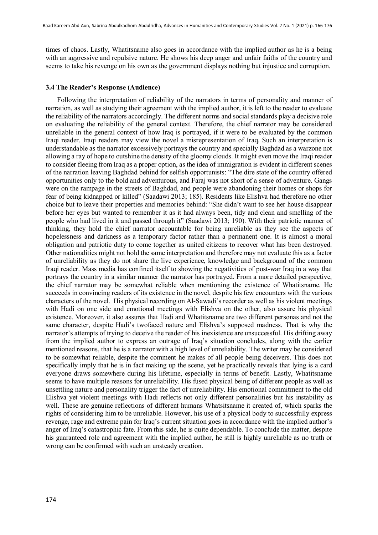times of chaos. Lastly, Whatitsname also goes in accordance with the implied author as he is a being with an aggressive and repulsive nature. He shows his deep anger and unfair faiths of the country and seems to take his revenge on his own as the government displays nothing but injustice and corruption.

## **3.4 The Reader's Response (Audience)**

Following the interpretation of reliability of the narrators in terms of personality and manner of narration, as well as studying their agreement with the implied author, it is left to the reader to evaluate the reliability of the narrators accordingly. The different norms and social standards play a decisive role on evaluating the reliability of the general context. Therefore, the chief narrator may be considered unreliable in the general context of how Iraq is portrayed, if it were to be evaluated by the common Iraqi reader. Iraqi readers may view the novel a misrepresentation of Iraq. Such an interpretation is understandable as the narrator excessively portrays the country and specially Baghdad as a warzone not allowing a ray of hope to outshine the density of the gloomy clouds. It might even move the Iraqi reader to consider fleeing from Iraq as a proper option, as the idea of immigration is evident in different scenes of the narration leaving Baghdad behind for selfish opportunists: "The dire state of the country offered opportunities only to the bold and adventurous, and Faraj was not short of a sense of adventure. Gangs were on the rampage in the streets of Baghdad, and people were abandoning their homes or shops for fear of being kidnapped or killed" (Saadawi 2013; 185). Residents like Elishva had therefore no other choice but to leave their properties and memories behind: "She didn't want to see her house disappear before her eyes but wanted to remember it as it had always been, tidy and clean and smelling of the people who had lived in it and passed through it" (Saadawi 2013; 190). With their patriotic manner of thinking, they hold the chief narrator accountable for being unreliable as they see the aspects of hopelessness and darkness as a temporary factor rather than a permanent one. It is almost a moral obligation and patriotic duty to come together as united citizens to recover what has been destroyed. Other nationalities might not hold the same interpretation and therefore may not evaluate this as a factor of unreliability as they do not share the live experience, knowledge and background of the common Iraqi reader. Mass media has confined itself to showing the negativities of post-war Iraq in a way that portrays the country in a similar manner the narrator has portrayed. From a more detailed perspective, the chief narrator may be somewhat reliable when mentioning the existence of Whatitsname. He succeeds in convincing readers of its existence in the novel, despite his few encounters with the various characters of the novel. His physical recording on Al-Sawadi's recorder as well as his violent meetings with Hadi on one side and emotional meetings with Elishva on the other, also assure his physical existence. Moreover, it also assures that Hadi and Whatitsname are two different personas and not the same character, despite Hadi's twofaced nature and Elishva's supposed madness. That is why the narrator's attempts of trying to deceive the reader of his inexistence are unsuccessful. His drifting away from the implied author to express an outrage of Iraq's situation concludes, along with the earlier mentioned reasons, that he is a narrator with a high level of unreliability. The writer may be considered to be somewhat reliable, despite the comment he makes of all people being deceivers. This does not specifically imply that he is in fact making up the scene, yet he practically reveals that lying is a card everyone draws somewhere during his lifetime, especially in terms of benefit. Lastly, Whatitsname seems to have multiple reasons for unreliability. His fused physical being of different people as well as unsettling nature and personality trigger the fact of unreliability. His emotional commitment to the old Elishva yet violent meetings with Hadi reflects not only different personalities but his instability as well. These are genuine reflections of different humans Whatsitsname it created of, which sparks the rights of considering him to be unreliable. However, his use of a physical body to successfully express revenge, rage and extreme pain for Iraq's current situation goes in accordance with the implied author's anger of Iraq's catastrophic fate. From this side, he is quite dependable. To conclude the matter, despite his guaranteed role and agreement with the implied author, he still is highly unreliable as no truth or wrong can be confirmed with such an unsteady creation.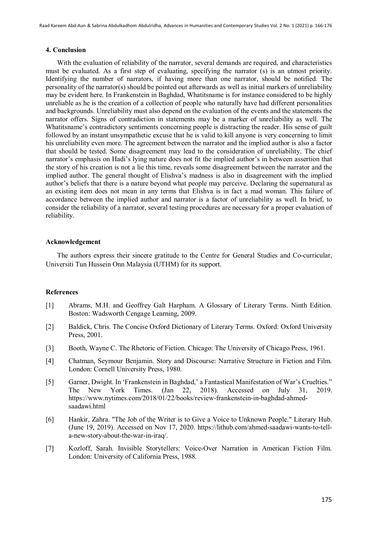#### **4. Conclusion**

With the evaluation of reliability of the narrator, several demands are required, and characteristics must be evaluated. As a first step of evaluating, specifying the narrator (s) is an utmost priority. Identifying the number of narrators, if having more than one narrator, should be notified. The personality of the narrator(s) should be pointed out afterwards as well as initial markers of unreliability may be evident here. In Frankenstein in Baghdad, Whatitsname is for instance considered to be highly unreliable as he is the creation of a collection of people who naturally have had different personalities and backgrounds. Unreliability must also depend on the evaluation of the events and the statements the narrator offers. Signs of contradiction in statements may be a marker of unreliability as well. The Whatitsname's contradictory sentiments concerning people is distracting the reader. His sense of guilt followed by an instant unsympathetic excuse that he is valid to kill anyone is very concerning to limit his unreliability even more. The agreement between the narrator and the implied author is also a factor that should be tested. Some disagreement may lead to the consideration of unreliability. The chief narrator's emphasis on Hadi's lying nature does not fit the implied author's in between assertion that the story of his creation is not a lie this time, reveals some disagreement between the narrator and the implied author. The general thought of Elishva's madness is also in disagreement with the implied author's beliefs that there is a nature beyond what people may perceive. Declaring the supernatural as an existing item does not mean in any terms that Elishva is in fact a mad woman. This failure of accordance between the implied author and narrator is a factor of unreliability as well. In brief, to consider the reliability of a narrator, several testing procedures are necessary for a proper evaluation of reliability.

#### **Acknowledgement**

The authors express their sincere gratitude to the Centre for General Studies and Co-curricular, Universiti Tun Hussein Onn Malaysia (UTHM) for its support.

## **References**

- [1] Abrams, M.H. and Geoffrey Galt Harpham. A Glossary of Literary Terms. Ninth Edition. Boston: Wadsworth Cengage Learning, 2009.
- [2] Baldick, Chris. The Concise Oxford Dictionary of Literary Terms. Oxford: Oxford University Press, 2001.
- [3] Booth, Wayne C. The Rhetoric of Fiction. Chicago: The University of Chicago Press, 1961.
- [4] Chatman, Seymour Benjamin. Story and Discourse: Narrative Structure in Fiction and Film. London: Cornell University Press, 1980.
- [5] Garner, Dwight. In 'Frankenstein in Baghdad,' a Fantastical Manifestation of War's Cruelties." The New York Times. (Jan 22, 2018). Accessed on July 31, 2019. https://www.nytimes.com/2018/01/22/books/review-frankenstein-in-baghdad-ahmedsaadawi.html
- [6] Hankir, Zahra. "The Job of the Writer is to Give a Voice to Unknown People." Literary Hub. (June 19, 2019). Accessed on Nov 17, 2020. https://lithub.com/ahmed-saadawi-wants-to-tella-new-story-about-the-war-in-iraq/.
- [7] Kozloff, Sarah. Invisible Storytellers: Voice-Over Narration in American Fiction Film. London: University of California Press, 1988.